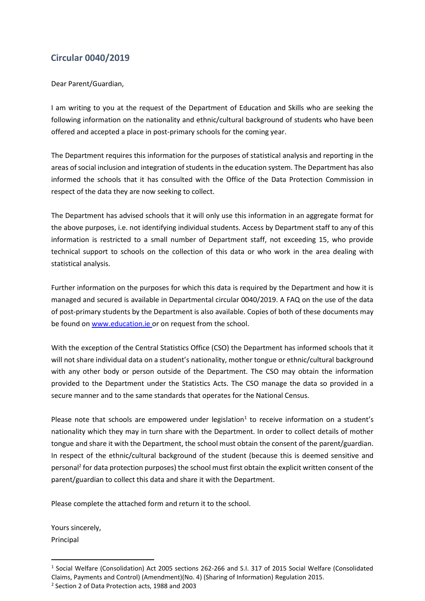## **Circular 0040/2019**

Dear Parent/Guardian,

I am writing to you at the request of the Department of Education and Skills who are seeking the following information on the nationality and ethnic/cultural background of students who have been offered and accepted a place in post-primary schools for the coming year.

The Department requires this information for the purposes of statistical analysis and reporting in the areas of social inclusion and integration of students in the education system. The Department has also informed the schools that it has consulted with the Office of the Data Protection Commission in respect of the data they are now seeking to collect.

The Department has advised schools that it will only use this information in an aggregate format for the above purposes, i.e. not identifying individual students. Access by Department staff to any of this information is restricted to a small number of Department staff, not exceeding 15, who provide technical support to schools on the collection of this data or who work in the area dealing with statistical analysis.

Further information on the purposes for which this data is required by the Department and how it is managed and secured is available in Departmental circular 0040/2019. A FAQ on the use of the data of post-primary students by the Department is also available. Copies of both of these documents may be found o[n www.education.ie](http://www.education.ie/) or on request from the school.

With the exception of the Central Statistics Office (CSO) the Department has informed schools that it will not share individual data on a student's nationality, mother tongue or ethnic/cultural background with any other body or person outside of the Department. The CSO may obtain the information provided to the Department under the Statistics Acts. The CSO manage the data so provided in a secure manner and to the same standards that operates for the National Census.

Please note that schools are empowered under legislation<sup>1</sup> to receive information on a student's nationality which they may in turn share with the Department. In order to collect details of mother tongue and share it with the Department, the school must obtain the consent of the parent/guardian. In respect of the ethnic/cultural background of the student (because this is deemed sensitive and personal<sup>2</sup> for data protection purposes) the school must first obtain the explicit written consent of the parent/guardian to collect this data and share it with the Department.

Please complete the attached form and return it to the school.

Yours sincerely, Principal

-

<sup>&</sup>lt;sup>1</sup> Social Welfare (Consolidation) Act 2005 sections 262-266 and S.I. 317 of 2015 Social Welfare (Consolidated Claims, Payments and Control) (Amendment)(No. 4) (Sharing of Information) Regulation 2015.

<sup>2</sup> Section 2 of Data Protection acts, 1988 and 2003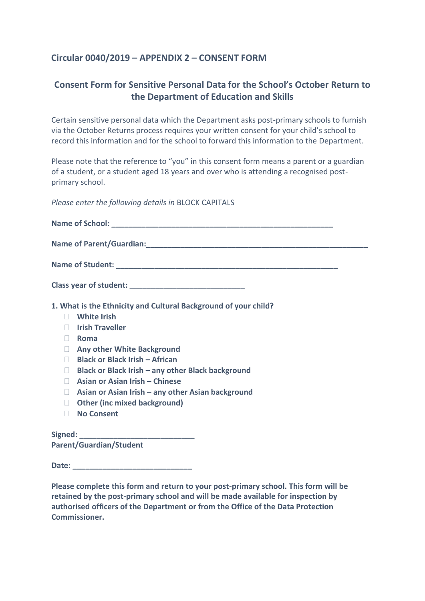## **Circular 0040/2019 – APPENDIX 2 – CONSENT FORM**

## **Consent Form for Sensitive Personal Data for the School's October Return to the Department of Education and Skills**

Certain sensitive personal data which the Department asks post-primary schools to furnish via the October Returns process requires your written consent for your child's school to record this information and for the school to forward this information to the Department.

Please note that the reference to "you" in this consent form means a parent or a guardian of a student, or a student aged 18 years and over who is attending a recognised postprimary school.

*Please enter the following details in* BLOCK CAPITALS

| 1. What is the Ethnicity and Cultural Background of your child? |  |  |  |
|-----------------------------------------------------------------|--|--|--|
| <b>White Irish</b><br>$\Box$                                    |  |  |  |
| <b>Irish Traveller</b><br>$\mathbf{L}$                          |  |  |  |
| Roma<br>$\Box$                                                  |  |  |  |
| <b>Any other White Background</b><br>$\Box$                     |  |  |  |
| <b>Black or Black Irish - African</b><br>$\Box$                 |  |  |  |
| Black or Black Irish – any other Black background<br>$\Box$     |  |  |  |
| Asian or Asian Irish - Chinese<br>$\Box$                        |  |  |  |
| Asian or Asian Irish – any other Asian background<br>$\Box$     |  |  |  |
| <b>Other (inc mixed background)</b><br>$\Box$                   |  |  |  |
| <b>No Consent</b><br>$\Box$                                     |  |  |  |
|                                                                 |  |  |  |

**Parent/Guardian/Student** 

**Date:**  $\blacksquare$ 

**Please complete this form and return to your post-primary school. This form will be retained by the post-primary school and will be made available for inspection by authorised officers of the Department or from the Office of the Data Protection Commissioner.**